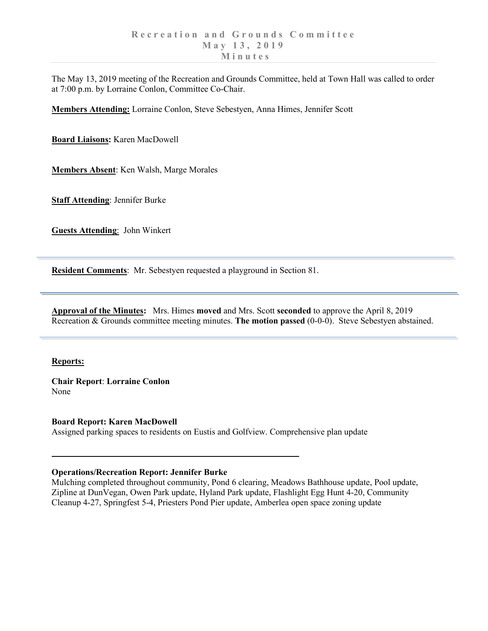The May 13, 2019 meeting of the Recreation and Grounds Committee, held at Town Hall was called to order at 7:00 p.m. by Lorraine Conlon, Committee Co-Chair.

**Members Attending:** Lorraine Conlon, Steve Sebestyen, Anna Himes, Jennifer Scott

**Board Liaisons:** Karen MacDowell

**Members Absent**: Ken Walsh, Marge Morales

**Staff Attending**: Jennifer Burke

**Guests Attending**: John Winkert

**Resident Comments**: Mr. Sebestyen requested a playground in Section 81.

**Approval of the Minutes:** Mrs. Himes **moved** and Mrs. Scott **seconded** to approve the April 8, 2019 Recreation & Grounds committee meeting minutes. **The motion passed** (0-0-0). Steve Sebestyen abstained.

## **Reports:**

**Chair Report**: **Lorraine Conlon** None

**Board Report: Karen MacDowell** Assigned parking spaces to residents on Eustis and Golfview. Comprehensive plan update

## **Operations/Recreation Report: Jennifer Burke**

Mulching completed throughout community, Pond 6 clearing, Meadows Bathhouse update, Pool update, Zipline at DunVegan, Owen Park update, Hyland Park update, Flashlight Egg Hunt 4-20, Community Cleanup 4-27, Springfest 5-4, Priesters Pond Pier update, Amberlea open space zoning update